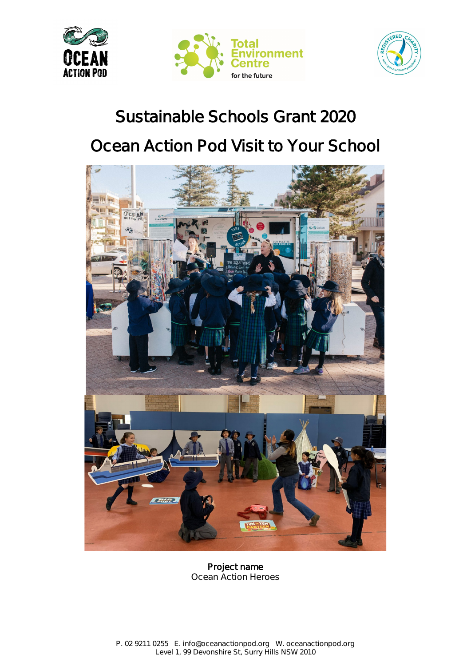





# **Sustainable Schools Grant 2020**

# **Ocean Action Pod Visit to Your School**



**Project name Ocean Action Heroes**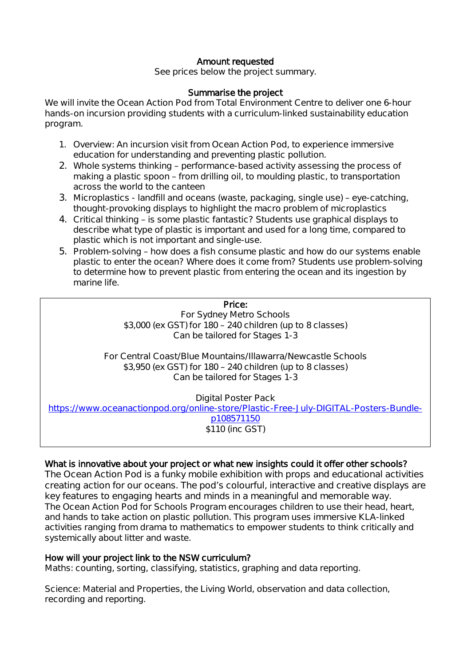## **Amount requested**

**See prices below the project summary.**

### **Summarise the project**

**We will invite the Ocean Action Pod from Total Environment Centre to deliver one 6-hour hands-on incursion providing students with a curriculum-linked sustainability education program.**

- **1. Overview: An incursion visit from Ocean Action Pod, to experience immersive education for understanding and preventing plastic pollution.**
- **2. Whole systems thinking – performance-based activity assessing the process of making a plastic spoon – from drilling oil, to moulding plastic, to transportation across the world to the canteen**
- **3. Microplastics - landfill and oceans (waste, packaging, single use) – eye-catching, thought-provoking displays to highlight the macro problem of microplastics**
- **4. Critical thinking – is some plastic fantastic? Students use graphical displays to describe what type of plastic is important and used for a long time, compared to plastic which is not important and single-use.**
- **5. Problem-solving – how does a fish consume plastic and how do our systems enable plastic to enter the ocean? Where does it come from? Students use problem-solving to determine how to prevent plastic from entering the ocean and its ingestion by marine life.**

#### **Price:**

**For Sydney Metro Schools \$3,000 (ex GST) for 180 – 240 children (up to 8 classes) Can be tailored for Stages 1-3**

**For Central Coast/Blue Mountains/Illawarra/Newcastle Schools \$3,950 (ex GST) for 180 – 240 children (up to 8 classes) Can be tailored for Stages 1-3**

**Digital Poster Pack**

**[https://www.oceanactionpod.org/online-store/Plastic-Free-July-DIGITAL-Posters-Bundle](https://www.oceanactionpod.org/online-store/Plastic-Free-July-DIGITAL-Posters-Bundle-p108571150)[p108571150](https://www.oceanactionpod.org/online-store/Plastic-Free-July-DIGITAL-Posters-Bundle-p108571150) \$110 (inc GST)**

#### **What is innovative about your project or what new insights could it offer other schools?**

**The Ocean Action Pod is a funky mobile exhibition with props and educational activities creating action for our oceans. The pod's colourful, interactive and creative displays are key features to engaging hearts and minds in a meaningful and memorable way. The Ocean Action Pod for Schools Program encourages children to use their head, heart, and hands to take action on plastic pollution. This program uses immersive KLA-linked activities ranging from drama to mathematics to empower students to think critically and systemically about litter and waste.** 

#### **How will your project link to the NSW curriculum?**

**Maths: counting, sorting, classifying, statistics, graphing and data reporting.**

**Science: Material and Properties, the Living World, observation and data collection, recording and reporting.**